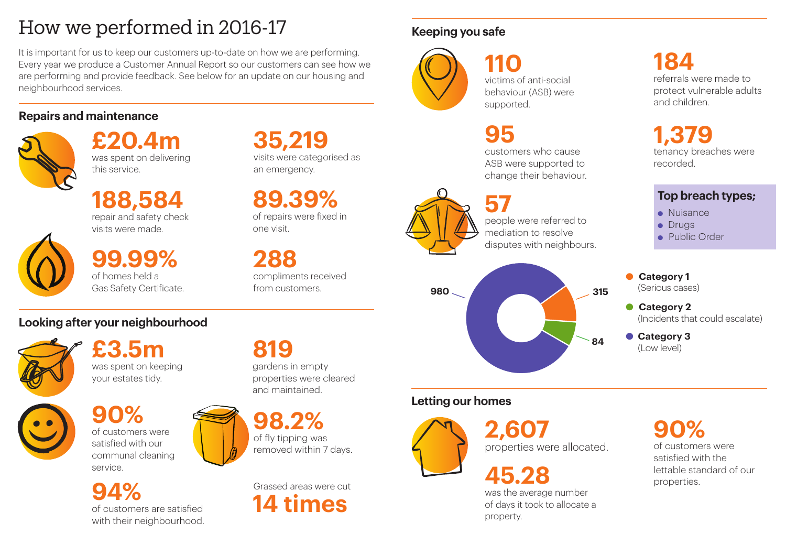# How we performed in 2016-17

It is important for us to keep our customers up-to-date on how we are performing. Every year we produce a Customer Annual Report so our customers can see how we are performing and provide feedback. See below for an update on our housing and neighbourhood services.

# **Repairs and maintenance**



# **Looking after your neighbourhood**



# **Keeping you safe**



**£20.4m** was spent on delivering this service.

**188,584** repair and safety check visits were made.



**35,219** visits were categorised as an emergency.

**89.39%** of repairs were fixed in one visit.

**99.99%**

of homes held a Gas Safety Certificate.

**288** compliments received from customers.

**£3.5m** was spent on keeping your estates tidy.



of customers were satisfied with the **45.28 properties 45.28 properties** 

**110** victims of anti-social behaviour (ASB) were supported.

**95**

customers who cause ASB were supported to change their behaviour.



people were referred to mediation to resolve disputes with neighbours.

**819** gardens in empty properties were cleared and maintained.

Grassed areas were cut **14 times**

**94%** of customers are satisfied with their neighbourhood.

**98.2%** of fly tipping was removed within 7 days.



# **Letting our homes**



**2,607** properties were allocated.

# **90%**

was the average number of days it took to allocate a property.

**90%** of customers were satisfied with our communal cleaning service.